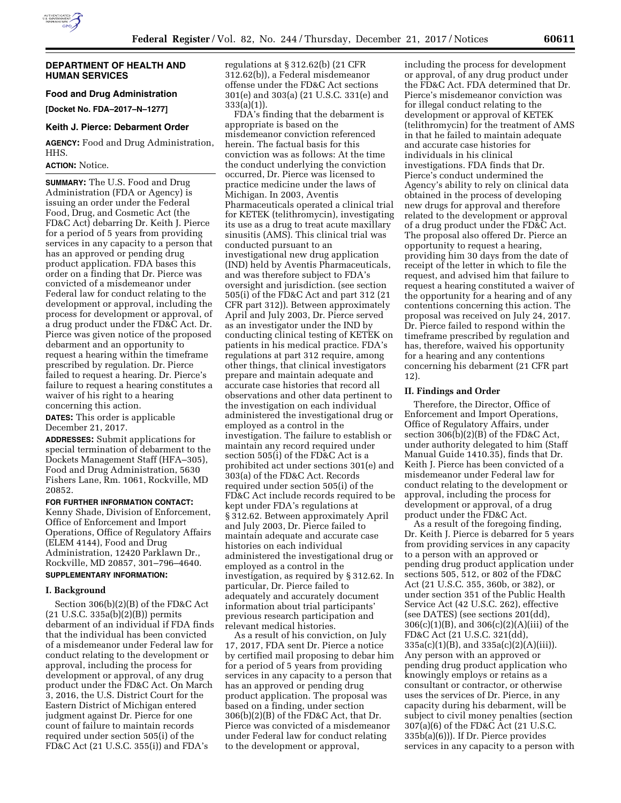

### **DEPARTMENT OF HEALTH AND HUMAN SERVICES**

# **Food and Drug Administration**

**[Docket No. FDA–2017–N–1277]** 

#### **Keith J. Pierce: Debarment Order**

**AGENCY:** Food and Drug Administration, HHS.

# **ACTION:** Notice.

**SUMMARY:** The U.S. Food and Drug Administration (FDA or Agency) is issuing an order under the Federal Food, Drug, and Cosmetic Act (the FD&C Act) debarring Dr. Keith J. Pierce for a period of 5 years from providing services in any capacity to a person that has an approved or pending drug product application. FDA bases this order on a finding that Dr. Pierce was convicted of a misdemeanor under Federal law for conduct relating to the development or approval, including the process for development or approval, of a drug product under the FD&C Act. Dr. Pierce was given notice of the proposed debarment and an opportunity to request a hearing within the timeframe prescribed by regulation. Dr. Pierce failed to request a hearing. Dr. Pierce's failure to request a hearing constitutes a waiver of his right to a hearing concerning this action.

**DATES:** This order is applicable December 21, 2017.

**ADDRESSES:** Submit applications for special termination of debarment to the Dockets Management Staff (HFA–305), Food and Drug Administration, 5630 Fishers Lane, Rm. 1061, Rockville, MD 20852.

# **FOR FURTHER INFORMATION CONTACT:**  Kenny Shade, Division of Enforcement, Office of Enforcement and Import Operations, Office of Regulatory Affairs (ELEM 4144), Food and Drug Administration, 12420 Parklawn Dr., Rockville, MD 20857, 301–796–4640.

# **SUPPLEMENTARY INFORMATION:**

## **I. Background**

Section 306(b)(2)(B) of the FD&C Act (21 U.S.C. 335a(b)(2)(B)) permits debarment of an individual if FDA finds that the individual has been convicted of a misdemeanor under Federal law for conduct relating to the development or approval, including the process for development or approval, of any drug product under the FD&C Act. On March 3, 2016, the U.S. District Court for the Eastern District of Michigan entered judgment against Dr. Pierce for one count of failure to maintain records required under section 505(i) of the FD&C Act (21 U.S.C. 355(i)) and FDA's

regulations at § 312.62(b) (21 CFR 312.62(b)), a Federal misdemeanor offense under the FD&C Act sections 301(e) and 303(a) (21 U.S.C. 331(e) and 333(a)(1)).

FDA's finding that the debarment is appropriate is based on the misdemeanor conviction referenced herein. The factual basis for this conviction was as follows: At the time the conduct underlying the conviction occurred, Dr. Pierce was licensed to practice medicine under the laws of Michigan. In 2003, Aventis Pharmaceuticals operated a clinical trial for KETEK (telithromycin), investigating its use as a drug to treat acute maxillary sinusitis (AMS). This clinical trial was conducted pursuant to an investigational new drug application (IND) held by Aventis Pharmaceuticals, and was therefore subject to FDA's oversight and jurisdiction. (see section 505(i) of the FD&C Act and part 312 (21 CFR part 312)). Between approximately April and July 2003, Dr. Pierce served as an investigator under the IND by conducting clinical testing of KETEK on patients in his medical practice. FDA's regulations at part 312 require, among other things, that clinical investigators prepare and maintain adequate and accurate case histories that record all observations and other data pertinent to the investigation on each individual administered the investigational drug or employed as a control in the investigation. The failure to establish or maintain any record required under section 505(i) of the FD&C Act is a prohibited act under sections 301(e) and 303(a) of the FD&C Act. Records required under section 505(i) of the FD&C Act include records required to be kept under FDA's regulations at § 312.62. Between approximately April and July 2003, Dr. Pierce failed to maintain adequate and accurate case histories on each individual administered the investigational drug or employed as a control in the investigation, as required by § 312.62. In particular, Dr. Pierce failed to adequately and accurately document information about trial participants' previous research participation and relevant medical histories.

As a result of his conviction, on July 17, 2017, FDA sent Dr. Pierce a notice by certified mail proposing to debar him for a period of 5 years from providing services in any capacity to a person that has an approved or pending drug product application. The proposal was based on a finding, under section 306(b)(2)(B) of the FD&C Act, that Dr. Pierce was convicted of a misdemeanor under Federal law for conduct relating to the development or approval,

including the process for development or approval, of any drug product under the FD&C Act. FDA determined that Dr. Pierce's misdemeanor conviction was for illegal conduct relating to the development or approval of KETEK (telithromycin) for the treatment of AMS in that he failed to maintain adequate and accurate case histories for individuals in his clinical investigations. FDA finds that Dr. Pierce's conduct undermined the Agency's ability to rely on clinical data obtained in the process of developing new drugs for approval and therefore related to the development or approval of a drug product under the FD&C Act. The proposal also offered Dr. Pierce an opportunity to request a hearing, providing him 30 days from the date of receipt of the letter in which to file the request, and advised him that failure to request a hearing constituted a waiver of the opportunity for a hearing and of any contentions concerning this action. The proposal was received on July 24, 2017. Dr. Pierce failed to respond within the timeframe prescribed by regulation and has, therefore, waived his opportunity for a hearing and any contentions concerning his debarment (21 CFR part 12).

### **II. Findings and Order**

Therefore, the Director, Office of Enforcement and Import Operations, Office of Regulatory Affairs, under section 306(b)(2)(B) of the FD&C Act, under authority delegated to him (Staff Manual Guide 1410.35), finds that Dr. Keith J. Pierce has been convicted of a misdemeanor under Federal law for conduct relating to the development or approval, including the process for development or approval, of a drug product under the FD&C Act.

As a result of the foregoing finding, Dr. Keith J. Pierce is debarred for 5 years from providing services in any capacity to a person with an approved or pending drug product application under sections 505, 512, or 802 of the FD&C Act (21 U.S.C. 355, 360b, or 382), or under section 351 of the Public Health Service Act (42 U.S.C. 262), effective (see DATES) (see sections 201(dd), 306(c)(1)(B), and 306(c)(2)(A)(iii) of the FD&C Act (21 U.S.C. 321(dd), 335a(c)(1)(B), and 335a(c)(2)(A)(iii)). Any person with an approved or pending drug product application who knowingly employs or retains as a consultant or contractor, or otherwise uses the services of Dr. Pierce, in any capacity during his debarment, will be subject to civil money penalties (section 307(a)(6) of the FD&C Act (21 U.S.C. 335b(a)(6))). If Dr. Pierce provides services in any capacity to a person with